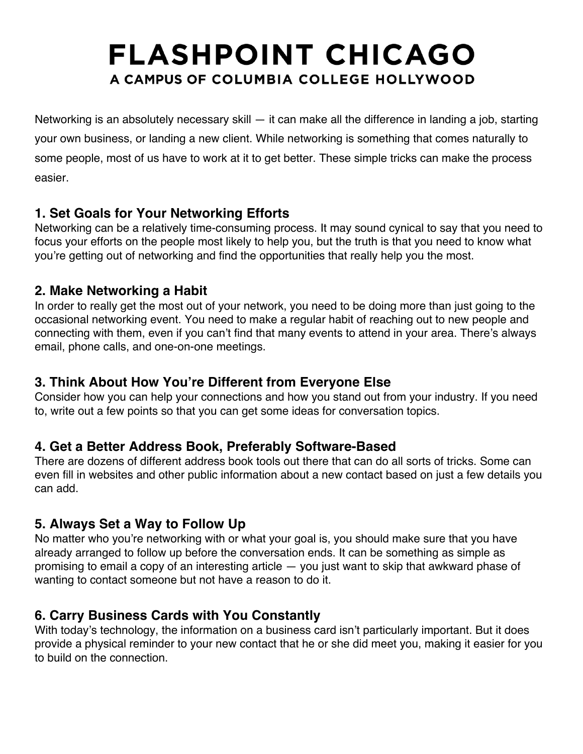# **FLASHPOINT CHICAGO** A CAMPUS OF COLUMBIA COLLEGE HOLLYWOOD

Networking is an absolutely necessary skill — it can make all the difference in landing a job, starting your own business, or landing a new client. While networking is something that comes naturally to some people, most of us have to work at it to get better. These simple tricks can make the process easier.

## **1. Set Goals for Your Networking Efforts**

Networking can be a relatively time-consuming process. It may sound cynical to say that you need to focus your efforts on the people most likely to help you, but the truth is that you need to know what you're getting out of networking and find the opportunities that really help you the most.

## **2. Make Networking a Habit**

In order to really get the most out of your network, you need to be doing more than just going to the occasional networking event. You need to make a regular habit of reaching out to new people and connecting with them, even if you can't find that many events to attend in your area. There's always email, phone calls, and one-on-one meetings.

## **3. Think About How You're Different from Everyone Else**

Consider how you can help your connections and how you stand out from your industry. If you need to, write out a few points so that you can get some ideas for conversation topics.

## **4. Get a Better Address Book, Preferably Software-Based**

There are dozens of different address book tools out there that can do all sorts of tricks. Some can even fill in websites and other public information about a new contact based on just a few details you can add.

## **5. Always Set a Way to Follow Up**

No matter who you're networking with or what your goal is, you should make sure that you have already arranged to follow up before the conversation ends. It can be something as simple as promising to email a copy of an interesting article — you just want to skip that awkward phase of wanting to contact someone but not have a reason to do it.

## **6. Carry Business Cards with You Constantly**

With today's technology, the information on a business card isn't particularly important. But it does provide a physical reminder to your new contact that he or she did meet you, making it easier for you to build on the connection.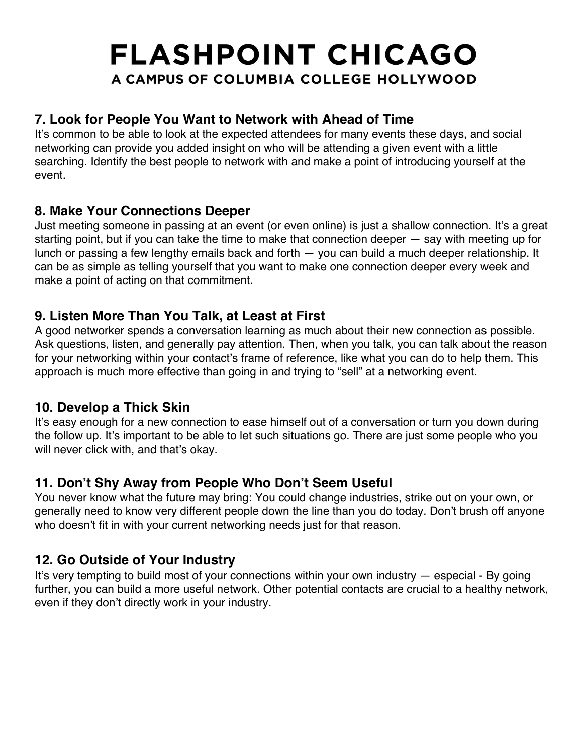## **FLASHPOINT CHICAGO** A CAMPUS OF COLUMBIA COLLEGE HOLLYWOOD

## **7. Look for People You Want to Network with Ahead of Time**

It's common to be able to look at the expected attendees for many events these days, and social networking can provide you added insight on who will be attending a given event with a little searching. Identify the best people to network with and make a point of introducing yourself at the event.

#### **8. Make Your Connections Deeper**

Just meeting someone in passing at an event (or even online) is just a shallow connection. It's a great starting point, but if you can take the time to make that connection deeper — say with meeting up for lunch or passing a few lengthy emails back and forth — you can build a much deeper relationship. It can be as simple as telling yourself that you want to make one connection deeper every week and make a point of acting on that commitment.

## **9. Listen More Than You Talk, at Least at First**

A good networker spends a conversation learning as much about their new connection as possible. Ask questions, listen, and generally pay attention. Then, when you talk, you can talk about the reason for your networking within your contact's frame of reference, like what you can do to help them. This approach is much more effective than going in and trying to "sell" at a networking event.

## **10. Develop a Thick Skin**

It's easy enough for a new connection to ease himself out of a conversation or turn you down during the follow up. It's important to be able to let such situations go. There are just some people who you will never click with, and that's okay.

## **11. Don't Shy Away from People Who Don't Seem Useful**

You never know what the future may bring: You could change industries, strike out on your own, or generally need to know very different people down the line than you do today. Don't brush off anyone who doesn't fit in with your current networking needs just for that reason.

## **12. Go Outside of Your Industry**

It's very tempting to build most of your connections within your own industry — especial - By going further, you can build a more useful network. Other potential contacts are crucial to a healthy network, even if they don't directly work in your industry.